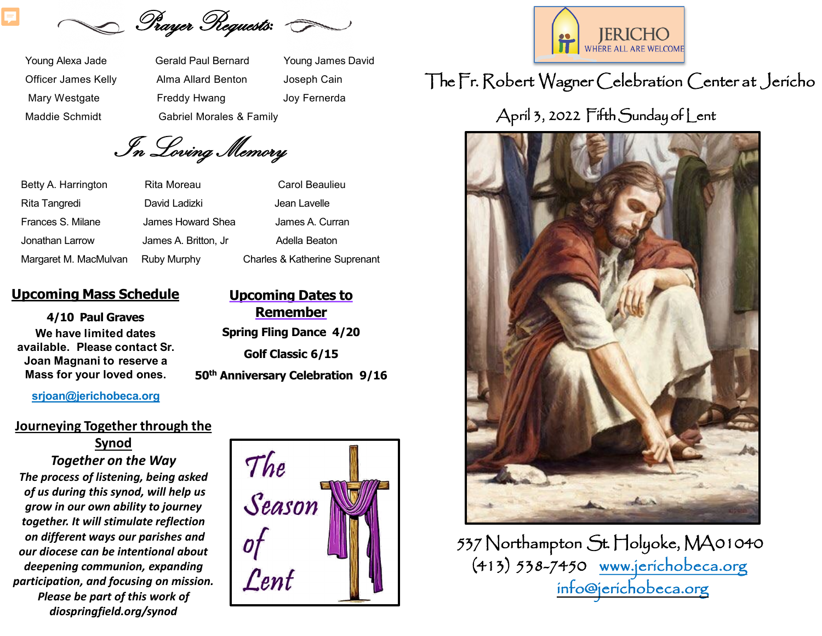Sayer Requests: G

Young Alexa Jade Gerald Paul Bernard Young James David Officer James Kelly Alma Allard Benton Joseph Cain Mary Westgate **Freddy Hwang Start Start Start Start Start Start Start Start Start Start Start Start Start Start Start Start Start Start Start Start Start Start Start Start Start Start Start Start Start Start Start Start St** Maddie Schmidt Gabriel Morales & Family

In Loving Memory

Betty A. Harrington Rita Moreau Carol Beaulieu

Rita Tangredi **David Ladizki** David Ladizki Jean Lavelle Frances S. Milane James Howard Shea James A. Curran Jonathan Larrow James A. Britton, Jr Adella Beaton Margaret M. MacMulvan Ruby Murphy Charles & Katherine Suprenant

#### **Upcoming Mass Schedule**

#### **4/10 Paul Graves We have limited dates available. Please contact Sr. Joan Magnani to reserve a Mass for your loved ones.**

#### **[srjoan@jerichobeca.org](mailto:srjoan@jerichobeca.org)**

#### **Journeying Together through the**

**Synod** *Together on the Way The process of listening, being asked of us during this synod, will help us grow in our own ability to journey together. It will stimulate reflection on different ways our parishes and our diocese can be intentional about deepening communion, expanding participation, and focusing on mission. Please be part of this work of diospringfield.org/synod*



**Upcoming Dates to** 



# TheFr. Robert Wagner Celebration Center at Jericho

# April 3, 2022 Fifth Sunday of Lent



537Northampton St. Holyoke, MA01040 (413) 538-7450 [www.jerichobeca.org](http://www.jerichobeca.org/) [info@jerichobeca.org](mailto:info@jerichobeca.org)

**Remember Spring Fling Dance 4/20 Golf Classic 6/15 50th Anniversary Celebration 9/16**